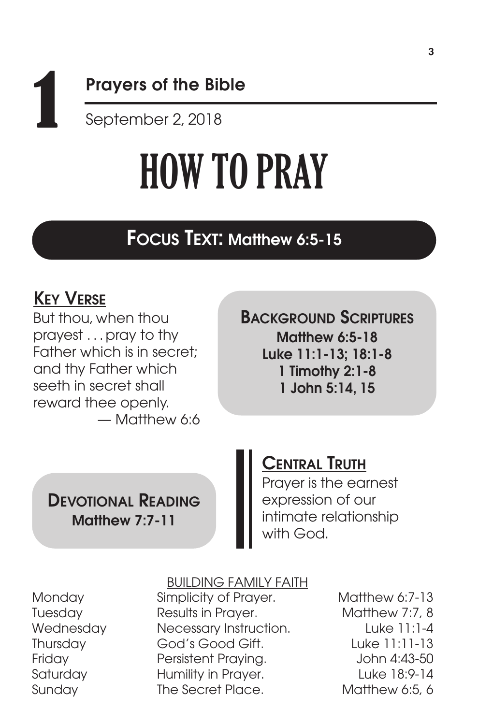# 1 Prayers of the Bible September 2, 2018

# HOW TO PRAY

# FOCUS TEXT: Matthew 6:5-15

# KEY VERSE

But thou, when thou prayest . . .pray to thy Father which is in secret; and thy Father which seeth in secret shall reward thee openly. — Matthew 6:6 BACKGROUND SCRIPTURES Matthew 6:5-18 Luke 11:1-13; 18:1-8 1 Timothy 2:1-8 1 John 5:14, 15

## DEVOTIONAL READING Matthew 7:7-11

# CENTRAL TRUTH

Prayer is the earnest expression of our intimate relationship with God.

## BUILDING FAMILY FAITH

Monday Simplicity of Prayer. Matthew 6:7-13 Tuesday Results in Prayer. Matthew 7:7, 8 Wednesday Necessary Instruction. Luke 11:1-4 Thursday God's Good Gift. Luke 11:11-13 Friday Persistent Praying. John 4:43-50 Saturday **Humility in Prayer.** Luke 18:9-14 Sunday The Secret Place. Matthew 6:5, 6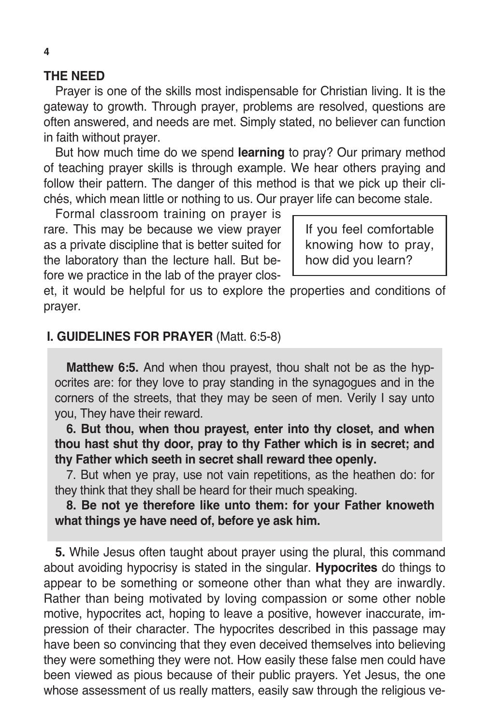#### **THE NEED**

Prayer is one of the skills most indispensable for Christian living. It is the gateway to growth. Through prayer, problems are resolved, questions are often answered, and needs are met. Simply stated, no believer can function in faith without prayer.

But how much time do we spend **learning** to pray? Our primary method of teaching prayer skills is through example. We hear others praying and follow their pattern. The danger of this method is that we pick up their clichés, which mean little or nothing to us. Our prayer life can become stale.

Formal classroom training on prayer is rare. This may be because we view prayer as a private discipline that is better suited for the laboratory than the lecture hall. But before we practice in the lab of the prayer clos-

If you feel comfortable knowing how to pray, how did you learn?

et, it would be helpful for us to explore the properties and conditions of prayer.

#### **I. GUIDELINES FOR PRAYER** (Matt. 6:5-8)

**Matthew 6:5.** And when thou prayest, thou shalt not be as the hypocrites are: for they love to pray standing in the synagogues and in the corners of the streets, that they may be seen of men. Verily I say unto you, They have their reward.

**6. But thou, when thou prayest, enter into thy closet, and when thou hast shut thy door, pray to thy Father which is in secret; and thy Father which seeth in secret shall reward thee openly.**

7. But when ye pray, use not vain repetitions, as the heathen do: for they think that they shall be heard for their much speaking.

**8. Be not ye therefore like unto them: for your Father knoweth what things ye have need of, before ye ask him.**

**5.** While Jesus often taught about prayer using the plural, this command about avoiding hypocrisy is stated in the singular. **Hypocrites** do things to appear to be something or someone other than what they are inwardly. Rather than being motivated by loving compassion or some other noble motive, hypocrites act, hoping to leave a positive, however inaccurate, impression of their character. The hypocrites described in this passage may have been so convincing that they even deceived themselves into believing they were something they were not. How easily these false men could have been viewed as pious because of their public prayers. Yet Jesus, the one whose assessment of us really matters, easily saw through the religious ve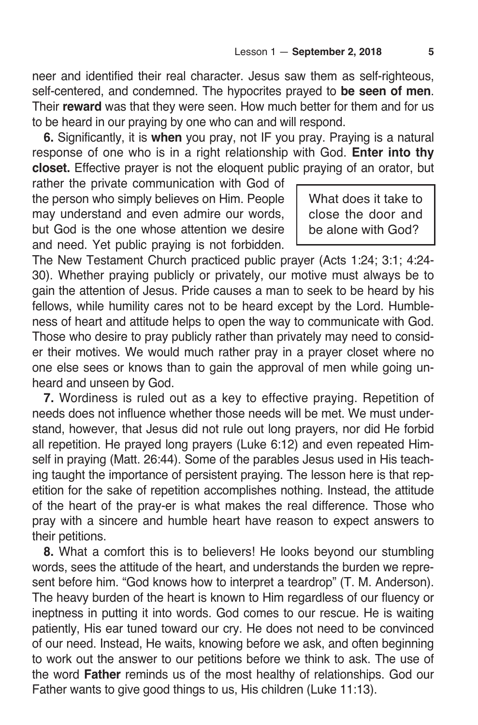neer and identified their real character. Jesus saw them as self-righteous, self-centered, and condemned. The hypocrites prayed to **be seen of men**. Their **reward** was that they were seen. How much better for them and for us to be heard in our praying by one who can and will respond.

**6.** Significantly, it is **when** you pray, not IF you pray. Praying is a natural response of one who is in a right relationship with God. **Enter into thy closet.** Effective prayer is not the eloquent public praying of an orator, but

rather the private communication with God of the person who simply believes on Him. People may understand and even admire our words, but God is the one whose attention we desire and need. Yet public praying is not forbidden.

What does it take to close the door and be alone with God?

The New Testament Church practiced public prayer (Acts 1:24; 3:1; 4:24- 30). Whether praying publicly or privately, our motive must always be to gain the attention of Jesus. Pride causes a man to seek to be heard by his fellows, while humility cares not to be heard except by the Lord. Humbleness of heart and attitude helps to open the way to communicate with God. Those who desire to pray publicly rather than privately may need to consider their motives. We would much rather pray in a prayer closet where no one else sees or knows than to gain the approval of men while going unheard and unseen by God.

**7.** Wordiness is ruled out as a key to effective praying. Repetition of needs does not influence whether those needs will be met. We must understand, however, that Jesus did not rule out long prayers, nor did He forbid all repetition. He prayed long prayers (Luke 6:12) and even repeated Himself in praying (Matt. 26:44). Some of the parables Jesus used in His teaching taught the importance of persistent praying. The lesson here is that repetition for the sake of repetition accomplishes nothing. Instead, the attitude of the heart of the pray-er is what makes the real difference. Those who pray with a sincere and humble heart have reason to expect answers to their petitions.

**8.** What a comfort this is to believers! He looks beyond our stumbling words, sees the attitude of the heart, and understands the burden we represent before him. "God knows how to interpret a teardrop" (T. M. Anderson). The heavy burden of the heart is known to Him regardless of our fluency or ineptness in putting it into words. God comes to our rescue. He is waiting patiently, His ear tuned toward our cry. He does not need to be convinced of our need. Instead, He waits, knowing before we ask, and often beginning to work out the answer to our petitions before we think to ask. The use of the word **Father** reminds us of the most healthy of relationships. God our Father wants to give good things to us, His children (Luke 11:13).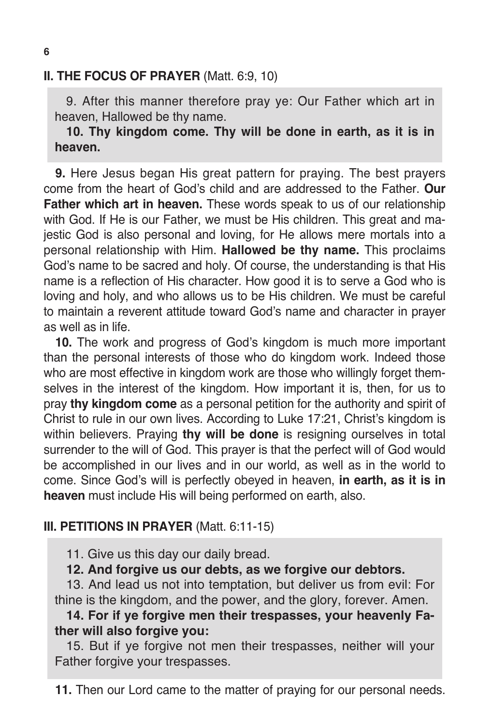### **II. THE FOCUS OF PRAYER** (Matt. 6:9, 10)

9. After this manner therefore pray ye: Our Father which art in heaven, Hallowed be thy name.

**10. Thy kingdom come. Thy will be done in earth, as it is in heaven.**

**9.** Here Jesus began His great pattern for praying. The best prayers come from the heart of God's child and are addressed to the Father. **Our Father which art in heaven.** These words speak to us of our relationship with God. If He is our Father, we must be His children. This great and majestic God is also personal and loving, for He allows mere mortals into a personal relationship with Him. **Hallowed be thy name.** This proclaims God's name to be sacred and holy. Of course, the understanding is that His name is a reflection of His character. How good it is to serve a God who is loving and holy, and who allows us to be His children. We must be careful to maintain a reverent attitude toward God's name and character in prayer as well as in life.

**10.** The work and progress of God's kingdom is much more important than the personal interests of those who do kingdom work. Indeed those who are most effective in kingdom work are those who willingly forget themselves in the interest of the kingdom. How important it is, then, for us to pray **thy kingdom come** as a personal petition for the authority and spirit of Christ to rule in our own lives. According to Luke 17:21, Christ's kingdom is within believers. Praying **thy will be done** is resigning ourselves in total surrender to the will of God. This prayer is that the perfect will of God would be accomplished in our lives and in our world, as well as in the world to come. Since God's will is perfectly obeyed in heaven, **in earth, as it is in heaven** must include His will being performed on earth, also.

## **III. PETITIONS IN PRAYER** (Matt. 6:11-15)

11. Give us this day our daily bread.

**12. And forgive us our debts, as we forgive our debtors.**

13. And lead us not into temptation, but deliver us from evil: For thine is the kingdom, and the power, and the glory, forever. Amen.

## **14. For if ye forgive men their trespasses, your heavenly Father will also forgive you:**

15. But if ye forgive not men their trespasses, neither will your Father forgive your trespasses.

**11.** Then our Lord came to the matter of praying for our personal needs.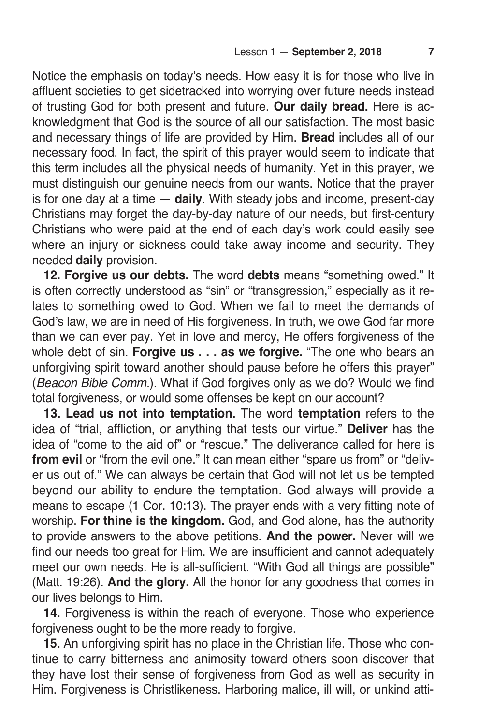Notice the emphasis on today's needs. How easy it is for those who live in affluent societies to get sidetracked into worrying over future needs instead of trusting God for both present and future. **Our daily bread.** Here is acknowledgment that God is the source of all our satisfaction. The most basic and necessary things of life are provided by Him. **Bread** includes all of our necessary food. In fact, the spirit of this prayer would seem to indicate that this term includes all the physical needs of humanity. Yet in this prayer, we must distinguish our genuine needs from our wants. Notice that the prayer is for one day at a time — **daily**. With steady jobs and income, present-day Christians may forget the day-by-day nature of our needs, but first-century Christians who were paid at the end of each day's work could easily see where an injury or sickness could take away income and security. They needed **daily** provision.

**12. Forgive us our debts.** The word **debts** means "something owed." It is often correctly understood as "sin" or "transgression," especially as it relates to something owed to God. When we fail to meet the demands of God's law, we are in need of His forgiveness. In truth, we owe God far more than we can ever pay. Yet in love and mercy, He offers forgiveness of the whole debt of sin. **Forgive us . . . as we forgive.** "The one who bears an unforgiving spirit toward another should pause before he offers this prayer" (Beacon Bible Comm.). What if God forgives only as we do? Would we find total forgiveness, or would some offenses be kept on our account?

**13. Lead us not into temptation.** The word **temptation** refers to the idea of "trial, affliction, or anything that tests our virtue." **Deliver** has the idea of "come to the aid of" or "rescue." The deliverance called for here is **from evil** or "from the evil one." It can mean either "spare us from" or "deliver us out of." We can always be certain that God will not let us be tempted beyond our ability to endure the temptation. God always will provide a means to escape (1 Cor. 10:13). The prayer ends with a very fitting note of worship. **For thine is the kingdom.** God, and God alone, has the authority to provide answers to the above petitions. **And the power.** Never will we find our needs too great for Him. We are insufficient and cannot adequately meet our own needs. He is all-sufficient. "With God all things are possible" (Matt. 19:26). **And the glory.** All the honor for any goodness that comes in our lives belongs to Him.

**14.** Forgiveness is within the reach of everyone. Those who experience forgiveness ought to be the more ready to forgive.

**15.** An unforgiving spirit has no place in the Christian life. Those who continue to carry bitterness and animosity toward others soon discover that they have lost their sense of forgiveness from God as well as security in Him. Forgiveness is Christlikeness. Harboring malice, ill will, or unkind atti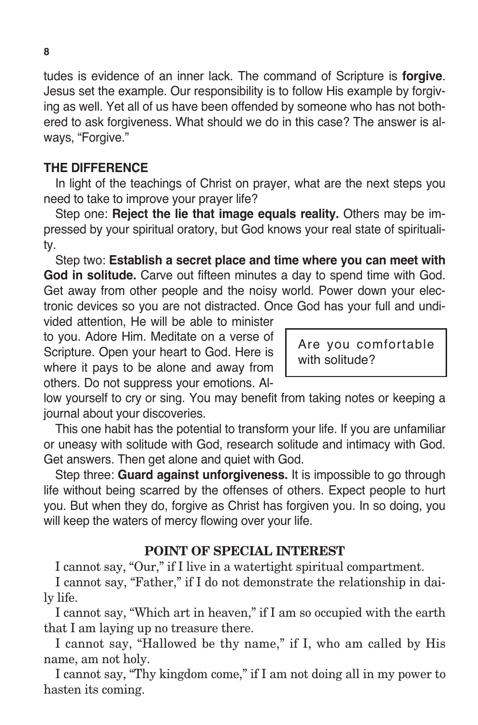tudes is evidence of an inner lack. The command of Scripture is **forgive**. Jesus set the example. Our responsibility is to follow His example by forgiving as well. Yet all of us have been offended by someone who has not bothered to ask forgiveness. What should we do in this case? The answer is always, "Forgive."

#### **THE DIFFERENCE**

In light of the teachings of Christ on prayer, what are the next steps you need to take to improve your prayer life?

Step one: **Reject the lie that image equals reality.** Others may be impressed by your spiritual oratory, but God knows your real state of spirituality.

Step two: **Establish a secret place and time where you can meet with God in solitude.** Carve out fifteen minutes a day to spend time with God. Get away from other people and the noisy world. Power down your electronic devices so you are not distracted. Once God has your full and undi-

vided attention, He will be able to minister to you. Adore Him. Meditate on a verse of Scripture. Open your heart to God. Here is where it pays to be alone and away from others. Do not suppress your emotions. Al-

Are you comfortable with solitude?

low yourself to cry or sing. You may benefit from taking notes or keeping a journal about your discoveries.

This one habit has the potential to transform your life. If you are unfamiliar or uneasy with solitude with God, research solitude and intimacy with God. Get answers. Then get alone and quiet with God.

Step three: **Guard against unforgiveness.** It is impossible to go through life without being scarred by the offenses of others. Expect people to hurt you. But when they do, forgive as Christ has forgiven you. In so doing, you will keep the waters of mercy flowing over your life.

#### **POINT OF SPECIAL INTEREST**

I cannot say, "Our," if I live in a watertight spiritual compartment.

I cannot say, "Father," if I do not demonstrate the relationship in daily life.

I cannot say, "Which art in heaven," if I am so occupied with the earth that I am laying up no treasure there.

I cannot say, "Hallowed be thy name," if I, who am called by His name, am not holy.

I cannot say, "Thy kingdom come," if I am not doing all in my power to hasten its coming.